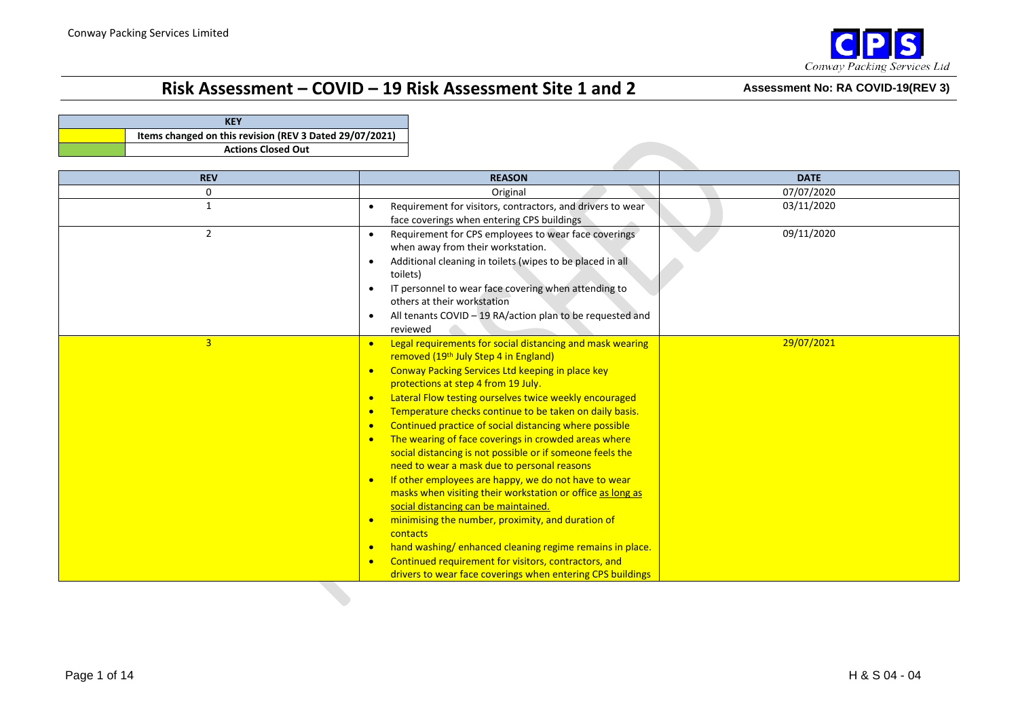

| <b>KEY</b>                                              |  |  |  |  |  |  |  |  |
|---------------------------------------------------------|--|--|--|--|--|--|--|--|
| Items changed on this revision (REV 3 Dated 29/07/2021) |  |  |  |  |  |  |  |  |
| <b>Actions Closed Out</b>                               |  |  |  |  |  |  |  |  |

| <b>REV</b>     | <b>REASON</b>                                                                                                                                                                                                                                                                                                                                                                                                                                                                                                                                                                                                                                                                                                                                                                                                                                                                                                                                                                                                                                                                                      | <b>DATE</b> |
|----------------|----------------------------------------------------------------------------------------------------------------------------------------------------------------------------------------------------------------------------------------------------------------------------------------------------------------------------------------------------------------------------------------------------------------------------------------------------------------------------------------------------------------------------------------------------------------------------------------------------------------------------------------------------------------------------------------------------------------------------------------------------------------------------------------------------------------------------------------------------------------------------------------------------------------------------------------------------------------------------------------------------------------------------------------------------------------------------------------------------|-------------|
| 0              | Original                                                                                                                                                                                                                                                                                                                                                                                                                                                                                                                                                                                                                                                                                                                                                                                                                                                                                                                                                                                                                                                                                           | 07/07/2020  |
| 1              | Requirement for visitors, contractors, and drivers to wear<br>face coverings when entering CPS buildings                                                                                                                                                                                                                                                                                                                                                                                                                                                                                                                                                                                                                                                                                                                                                                                                                                                                                                                                                                                           | 03/11/2020  |
| 2              | Requirement for CPS employees to wear face coverings<br>when away from their workstation.<br>Additional cleaning in toilets (wipes to be placed in all<br>toilets)<br>IT personnel to wear face covering when attending to<br>others at their workstation<br>All tenants COVID - 19 RA/action plan to be requested and<br>reviewed                                                                                                                                                                                                                                                                                                                                                                                                                                                                                                                                                                                                                                                                                                                                                                 | 09/11/2020  |
| $\overline{3}$ | Legal requirements for social distancing and mask wearing<br>$\bullet$<br>removed (19th July Step 4 in England)<br>Conway Packing Services Ltd keeping in place key<br>$\bullet$<br>protections at step 4 from 19 July.<br>Lateral Flow testing ourselves twice weekly encouraged<br>$\bullet$<br>Temperature checks continue to be taken on daily basis.<br>$\bullet$<br>Continued practice of social distancing where possible<br>$\bullet$<br>The wearing of face coverings in crowded areas where<br>$\bullet$<br>social distancing is not possible or if someone feels the<br>need to wear a mask due to personal reasons<br>If other employees are happy, we do not have to wear<br>$\bullet$<br>masks when visiting their workstation or office as long as<br>social distancing can be maintained.<br>minimising the number, proximity, and duration of<br>$\bullet$<br>contacts<br>hand washing/enhanced cleaning regime remains in place.<br>$\bullet$<br>Continued requirement for visitors, contractors, and<br>$\bullet$<br>drivers to wear face coverings when entering CPS buildings | 29/07/2021  |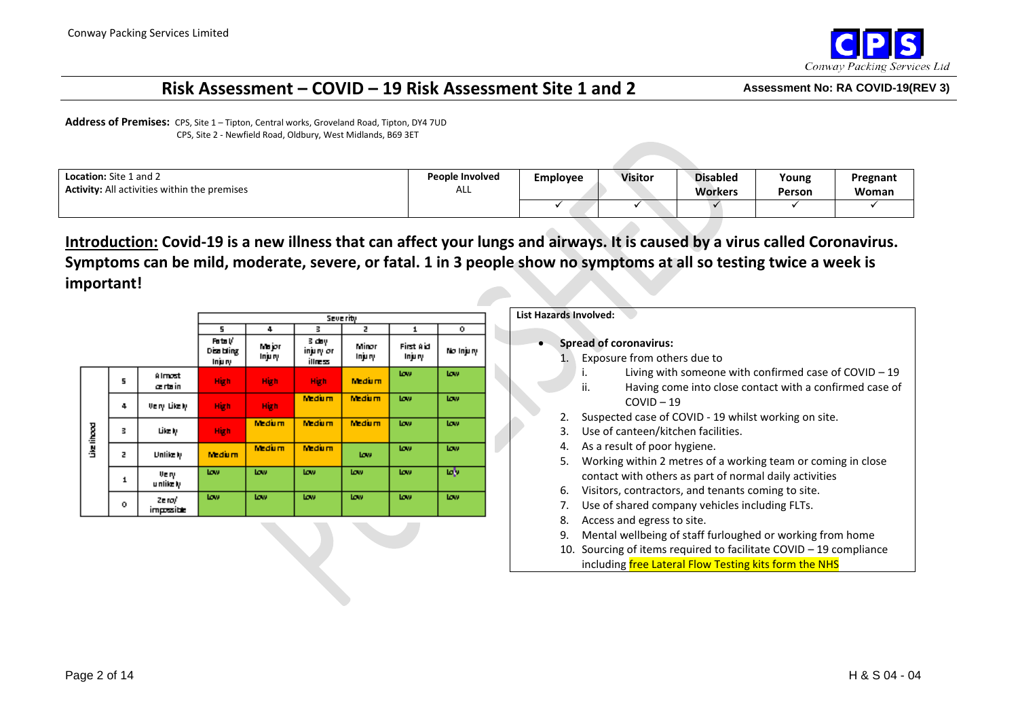

**Address of Premises:** CPS, Site 1 – Tipton, Central works, Groveland Road, Tipton, DY4 7UD CPS, Site 2 - Newfield Road, Oldbury, West Midlands, B69 3ET

| <b>Location:</b> Site 1 and 2                       | <b>People Involved</b> | Employee | <b>Visitor</b> | <b>Disabled</b> | Young  | Pregnant |
|-----------------------------------------------------|------------------------|----------|----------------|-----------------|--------|----------|
| <b>Activity:</b> All activities within the premises | ALL                    |          |                | <b>Workers</b>  | Person | Woman    |
|                                                     |                        |          |                |                 |        |          |

**Introduction: Covid-19 is a new illness that can affect your lungs and airways. It is caused by a virus called Coronavirus. Symptoms can be mild, moderate, severe, or fatal. 1 in 3 people show no symptoms at all so testing twice a week is important!**

|             |   |                         |                                 |                  |                                 | Severity        |                      |            |
|-------------|---|-------------------------|---------------------------------|------------------|---------------------------------|-----------------|----------------------|------------|
|             |   |                         | 5                               | 4                | в                               | z               | 1                    | ۰          |
|             |   |                         | Foto V<br>Disa bling<br>Injury. | Major<br>Inju ry | 3 day j<br>injury or<br>illness | Minor<br>Injury | First Aid<br>Injury. | No Injury  |
|             | 5 | <b>Almost</b><br>æntsin | High                            | High             | High                            | <b>Medium</b>   | <b>Low</b>           | tow.       |
|             | 4 | Very Likely.            | High                            | High             | <b>Medium</b>                   | <b>Medium</b>   | tow.                 | tow.       |
| Live lihood | В | Like Iy                 | High                            | <b>Medium</b>    | <b>Medium</b>                   | <b>Medium</b>   | <b>Low</b>           | tow.       |
|             | z | Unlike Iy               | <b>Medium</b>                   | <b>Medium</b>    | <b>Medium</b>                   | tow.            | <b>Low</b>           | <b>Low</b> |
|             | 1 | Very.<br>u nlike Iy     | <b>Low</b>                      | tow.             | <b>Low</b>                      | tow.            | tow.                 | ъŅ         |
|             | ۰ | Ze ro/<br>impositic     | <b>Low</b>                      | tow.             | tow.                            | tow.            | tow.                 | tow.       |

#### **List Hazards Involved:**

- **Spread of coronavirus:**
	- 1. Exposure from others due to
		- i. Living with someone with confirmed case of COVID 19
		- ii. Having come into close contact with a confirmed case of  $COVID - 19$
	- 2. Suspected case of COVID 19 whilst working on site.
	- 3. Use of canteen/kitchen facilities.
	- 4. As a result of poor hygiene.
	- 5. Working within 2 metres of a working team or coming in close contact with others as part of normal daily activities
	- 6. Visitors, contractors, and tenants coming to site.
	- 7. Use of shared company vehicles including FLTs.
	- 8. Access and egress to site.
	- 9. Mental wellbeing of staff furloughed or working from home
	- 10. Sourcing of items required to facilitate COVID 19 compliance including free Lateral Flow Testing kits form the NHS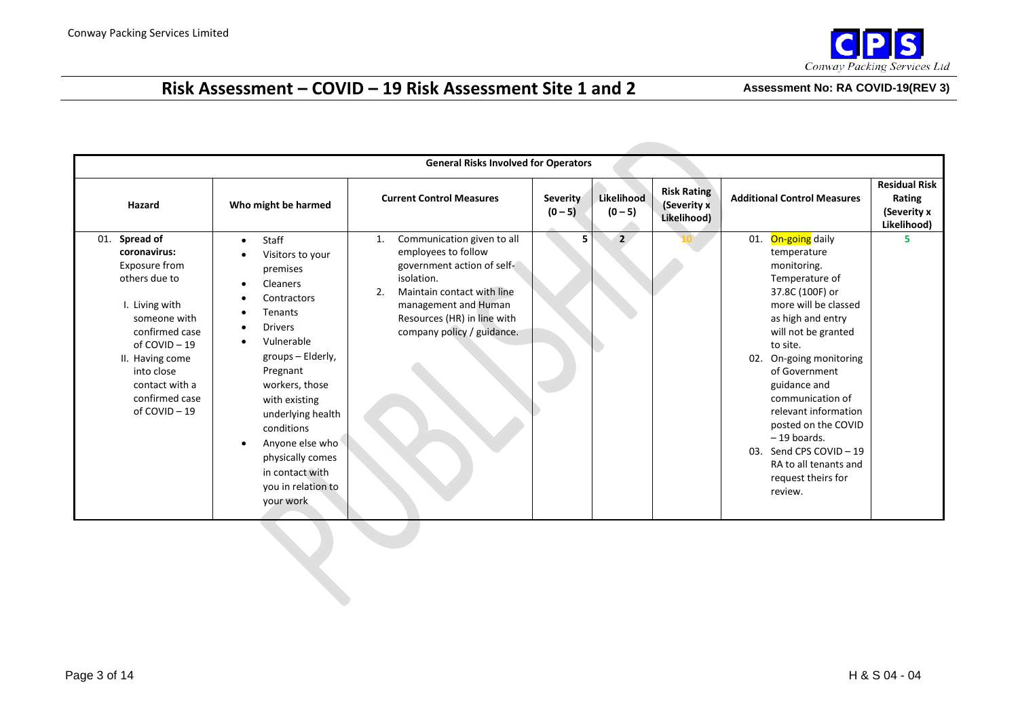

|                                                                                                                                                                                                                           |                                                                                                                                                                                                                                                                                                                                           | <b>General Risks Involved for Operators</b>                                                                                                                                                                                  |                              |                         |                                                  |                                                                                                                                                                                                                                                                                                                                                                                                                  |                                                              |
|---------------------------------------------------------------------------------------------------------------------------------------------------------------------------------------------------------------------------|-------------------------------------------------------------------------------------------------------------------------------------------------------------------------------------------------------------------------------------------------------------------------------------------------------------------------------------------|------------------------------------------------------------------------------------------------------------------------------------------------------------------------------------------------------------------------------|------------------------------|-------------------------|--------------------------------------------------|------------------------------------------------------------------------------------------------------------------------------------------------------------------------------------------------------------------------------------------------------------------------------------------------------------------------------------------------------------------------------------------------------------------|--------------------------------------------------------------|
| Hazard                                                                                                                                                                                                                    | Who might be harmed                                                                                                                                                                                                                                                                                                                       | <b>Current Control Measures</b>                                                                                                                                                                                              | <b>Severity</b><br>$(0 - 5)$ | Likelihood<br>$(0 - 5)$ | <b>Risk Rating</b><br>(Severity x<br>Likelihood) | <b>Additional Control Measures</b>                                                                                                                                                                                                                                                                                                                                                                               | <b>Residual Risk</b><br>Rating<br>(Severity x<br>Likelihood) |
| Spread of<br>01.<br>coronavirus:<br>Exposure from<br>others due to<br>I. Living with<br>someone with<br>confirmed case<br>of COVID-19<br>II. Having come<br>into close<br>contact with a<br>confirmed case<br>of COVID-19 | Staff<br>$\bullet$<br>Visitors to your<br>premises<br>Cleaners<br>Contractors<br>Tenants<br><b>Drivers</b><br>Vulnerable<br>groups - Elderly,<br>Pregnant<br>workers, those<br>with existing<br>underlying health<br>conditions<br>Anyone else who<br>$\bullet$<br>physically comes<br>in contact with<br>you in relation to<br>your work | Communication given to all<br>1.<br>employees to follow<br>government action of self-<br>isolation.<br>Maintain contact with line<br>2.<br>management and Human<br>Resources (HR) in line with<br>company policy / guidance. | 5                            | $\overline{2}$          |                                                  | On-going daily<br>01.<br>temperature<br>monitoring.<br>Temperature of<br>37.8C (100F) or<br>more will be classed<br>as high and entry<br>will not be granted<br>to site.<br>On-going monitoring<br>02.<br>of Government<br>guidance and<br>communication of<br>relevant information<br>posted on the COVID<br>$-19$ boards.<br>03. Send CPS COVID - 19<br>RA to all tenants and<br>request theirs for<br>review. | 5.                                                           |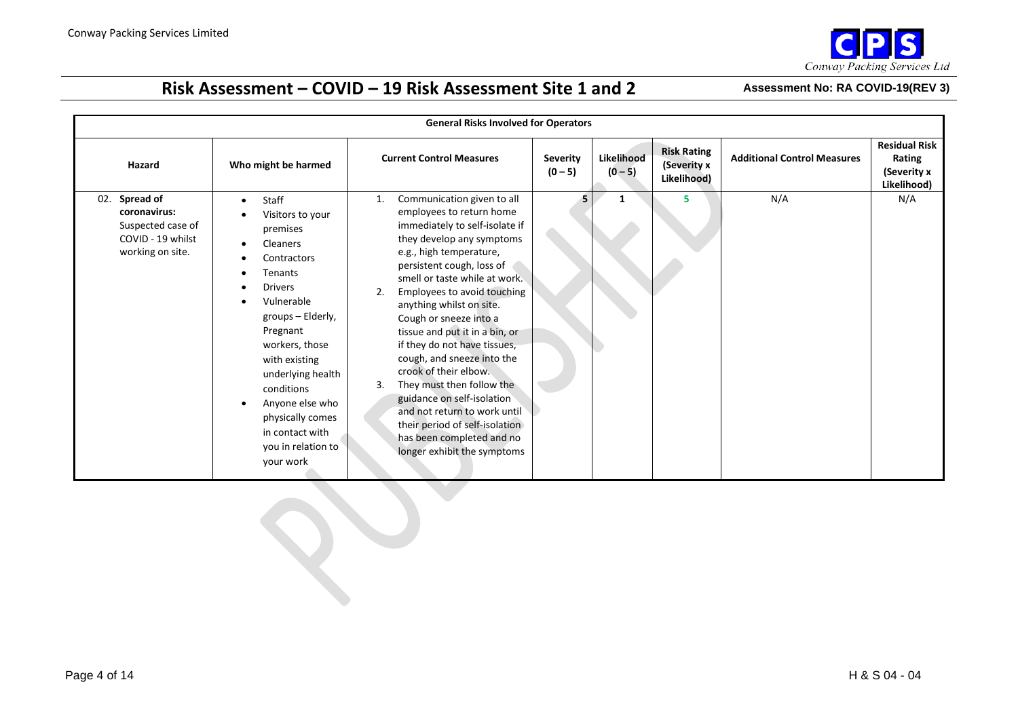

|                                                                                             | <b>General Risks Involved for Operators</b>                                                                                                                                                                                                                                                                                                                                      |                                                                                                                                                                                                                                                                                                                                                                                                                                                                                                                                                                                                                                         |                              |                         |                                                  |                                    |                                                              |  |  |
|---------------------------------------------------------------------------------------------|----------------------------------------------------------------------------------------------------------------------------------------------------------------------------------------------------------------------------------------------------------------------------------------------------------------------------------------------------------------------------------|-----------------------------------------------------------------------------------------------------------------------------------------------------------------------------------------------------------------------------------------------------------------------------------------------------------------------------------------------------------------------------------------------------------------------------------------------------------------------------------------------------------------------------------------------------------------------------------------------------------------------------------------|------------------------------|-------------------------|--------------------------------------------------|------------------------------------|--------------------------------------------------------------|--|--|
| Hazard                                                                                      | Who might be harmed                                                                                                                                                                                                                                                                                                                                                              | <b>Current Control Measures</b>                                                                                                                                                                                                                                                                                                                                                                                                                                                                                                                                                                                                         | <b>Severity</b><br>$(0 - 5)$ | Likelihood<br>$(0 - 5)$ | <b>Risk Rating</b><br>(Severity x<br>Likelihood) | <b>Additional Control Measures</b> | <b>Residual Risk</b><br>Rating<br>(Severity x<br>Likelihood) |  |  |
| 02. Spread of<br>coronavirus:<br>Suspected case of<br>COVID - 19 whilst<br>working on site. | Staff<br>$\bullet$<br>Visitors to your<br>$\bullet$<br>premises<br>Cleaners<br>$\bullet$<br>Contractors<br>Tenants<br><b>Drivers</b><br>Vulnerable<br>$\bullet$<br>groups - Elderly,<br>Pregnant<br>workers, those<br>with existing<br>underlying health<br>conditions<br>Anyone else who<br>$\bullet$<br>physically comes<br>in contact with<br>you in relation to<br>your work | Communication given to all<br>1.<br>employees to return home<br>immediately to self-isolate if<br>they develop any symptoms<br>e.g., high temperature,<br>persistent cough, loss of<br>smell or taste while at work.<br>Employees to avoid touching<br>2.<br>anything whilst on site.<br>Cough or sneeze into a<br>tissue and put it in a bin, or<br>if they do not have tissues,<br>cough, and sneeze into the<br>crook of their elbow.<br>They must then follow the<br>3.<br>guidance on self-isolation<br>and not return to work until<br>their period of self-isolation<br>has been completed and no<br>longer exhibit the symptoms | 5.                           | $\mathbf{1}$            | 5                                                | N/A                                | N/A                                                          |  |  |
|                                                                                             |                                                                                                                                                                                                                                                                                                                                                                                  |                                                                                                                                                                                                                                                                                                                                                                                                                                                                                                                                                                                                                                         |                              |                         |                                                  |                                    |                                                              |  |  |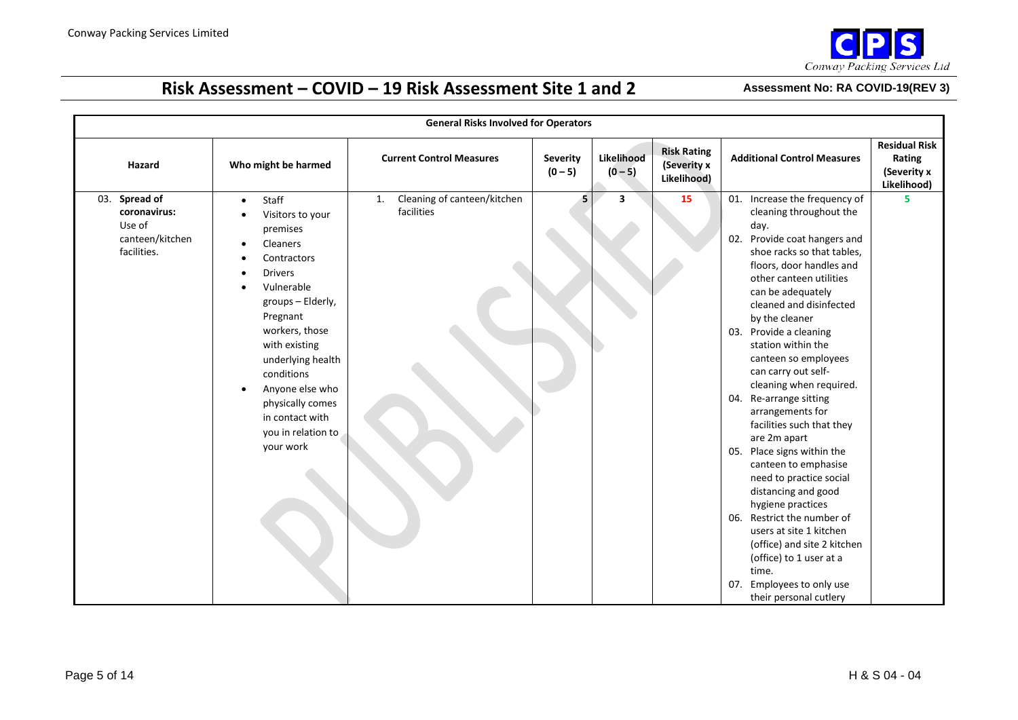

|                                                                              |                                                                                                                                                                                                                                                                                                                                             | <b>General Risks Involved for Operators</b>     |                              |                         |                                                  |                                                                                                                                                                                                                                                                                                                                                                                                                                                                                                                                                                                                                                                                                                                                                                                                             |                                                              |
|------------------------------------------------------------------------------|---------------------------------------------------------------------------------------------------------------------------------------------------------------------------------------------------------------------------------------------------------------------------------------------------------------------------------------------|-------------------------------------------------|------------------------------|-------------------------|--------------------------------------------------|-------------------------------------------------------------------------------------------------------------------------------------------------------------------------------------------------------------------------------------------------------------------------------------------------------------------------------------------------------------------------------------------------------------------------------------------------------------------------------------------------------------------------------------------------------------------------------------------------------------------------------------------------------------------------------------------------------------------------------------------------------------------------------------------------------------|--------------------------------------------------------------|
| Hazard                                                                       | Who might be harmed                                                                                                                                                                                                                                                                                                                         | <b>Current Control Measures</b>                 | <b>Severity</b><br>$(0 - 5)$ | Likelihood<br>$(0 - 5)$ | <b>Risk Rating</b><br>(Severity x<br>Likelihood) | <b>Additional Control Measures</b>                                                                                                                                                                                                                                                                                                                                                                                                                                                                                                                                                                                                                                                                                                                                                                          | <b>Residual Risk</b><br>Rating<br>(Severity x<br>Likelihood) |
| Spread of<br>03.<br>coronavirus:<br>Use of<br>canteen/kitchen<br>facilities. | Staff<br>$\bullet$<br>Visitors to your<br>$\bullet$<br>premises<br>Cleaners<br>Contractors<br><b>Drivers</b><br>$\bullet$<br>Vulnerable<br>groups - Elderly,<br>Pregnant<br>workers, those<br>with existing<br>underlying health<br>conditions<br>Anyone else who<br>physically comes<br>in contact with<br>you in relation to<br>your work | Cleaning of canteen/kitchen<br>1.<br>facilities | 5                            | 3                       | 15                                               | 01. Increase the frequency of<br>cleaning throughout the<br>day.<br>Provide coat hangers and<br>02.<br>shoe racks so that tables,<br>floors, door handles and<br>other canteen utilities<br>can be adequately<br>cleaned and disinfected<br>by the cleaner<br>Provide a cleaning<br>03.<br>station within the<br>canteen so employees<br>can carry out self-<br>cleaning when required.<br>Re-arrange sitting<br>04.<br>arrangements for<br>facilities such that they<br>are 2m apart<br>05. Place signs within the<br>canteen to emphasise<br>need to practice social<br>distancing and good<br>hygiene practices<br>Restrict the number of<br>06.<br>users at site 1 kitchen<br>(office) and site 2 kitchen<br>(office) to 1 user at a<br>time.<br>Employees to only use<br>07.<br>their personal cutlery | 5                                                            |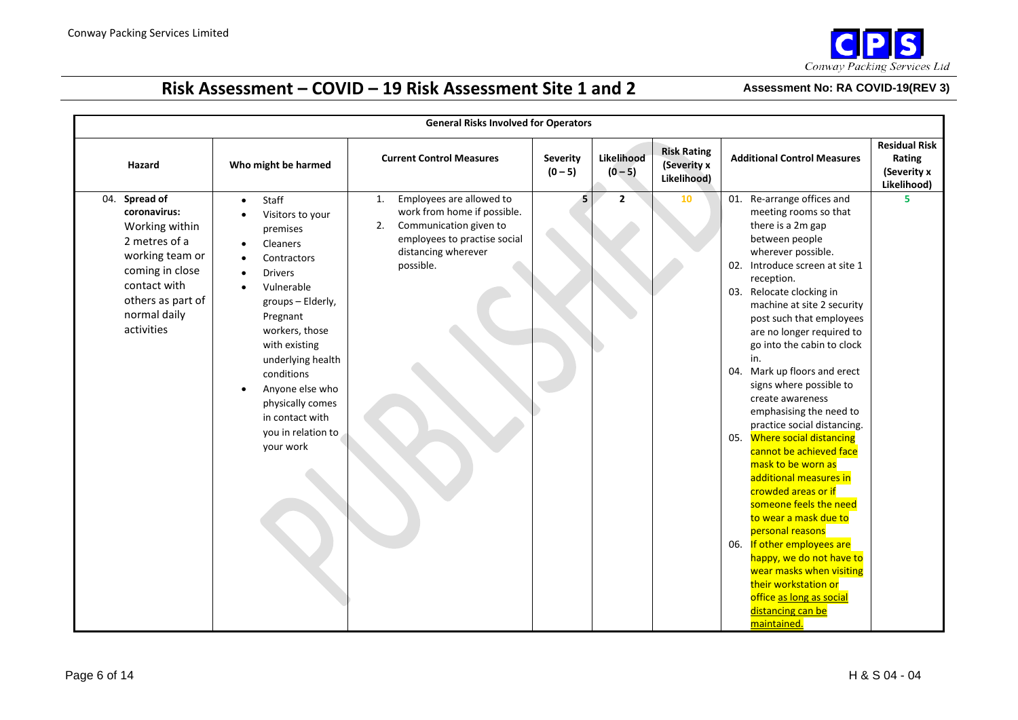

|                                                                                                                                                                              | <b>General Risks Involved for Operators</b>                                                                                                                                                                                                                                                                                                 |                                                                                                                                                                   |                              |                         |                                                  |                                                                                                                                                                                                                                                                                                                                                                                                                                                                                                                                                                                                                                                                                                                                                                                                                                                         |                                                              |  |  |  |
|------------------------------------------------------------------------------------------------------------------------------------------------------------------------------|---------------------------------------------------------------------------------------------------------------------------------------------------------------------------------------------------------------------------------------------------------------------------------------------------------------------------------------------|-------------------------------------------------------------------------------------------------------------------------------------------------------------------|------------------------------|-------------------------|--------------------------------------------------|---------------------------------------------------------------------------------------------------------------------------------------------------------------------------------------------------------------------------------------------------------------------------------------------------------------------------------------------------------------------------------------------------------------------------------------------------------------------------------------------------------------------------------------------------------------------------------------------------------------------------------------------------------------------------------------------------------------------------------------------------------------------------------------------------------------------------------------------------------|--------------------------------------------------------------|--|--|--|
| Hazard                                                                                                                                                                       | Who might be harmed                                                                                                                                                                                                                                                                                                                         | <b>Current Control Measures</b>                                                                                                                                   | <b>Severity</b><br>$(0 - 5)$ | Likelihood<br>$(0 - 5)$ | <b>Risk Rating</b><br>(Severity x<br>Likelihood) | <b>Additional Control Measures</b>                                                                                                                                                                                                                                                                                                                                                                                                                                                                                                                                                                                                                                                                                                                                                                                                                      | <b>Residual Risk</b><br>Rating<br>(Severity x<br>Likelihood) |  |  |  |
| Spread of<br>04.<br>coronavirus:<br>Working within<br>2 metres of a<br>working team or<br>coming in close<br>contact with<br>others as part of<br>normal daily<br>activities | Staff<br>$\bullet$<br>Visitors to your<br>premises<br>Cleaners<br>$\bullet$<br>Contractors<br><b>Drivers</b><br>Vulnerable<br>$\bullet$<br>groups - Elderly,<br>Pregnant<br>workers, those<br>with existing<br>underlying health<br>conditions<br>Anyone else who<br>physically comes<br>in contact with<br>you in relation to<br>your work | Employees are allowed to<br>1.<br>work from home if possible.<br>Communication given to<br>2.<br>employees to practise social<br>distancing wherever<br>possible. | $\mathbf{s}$                 | $\overline{2}$          | 10                                               | 01. Re-arrange offices and<br>meeting rooms so that<br>there is a 2m gap<br>between people<br>wherever possible.<br>02. Introduce screen at site 1<br>reception.<br>03. Relocate clocking in<br>machine at site 2 security<br>post such that employees<br>are no longer required to<br>go into the cabin to clock<br>in.<br>04. Mark up floors and erect<br>signs where possible to<br>create awareness<br>emphasising the need to<br>practice social distancing.<br>05. Where social distancing<br>cannot be achieved face<br>mask to be worn as<br>additional measures in<br>crowded areas or if<br>someone feels the need<br>to wear a mask due to<br>personal reasons<br>06. If other employees are<br>happy, we do not have to<br>wear masks when visiting<br>their workstation or<br>office as long as social<br>distancing can be<br>maintained. | 5                                                            |  |  |  |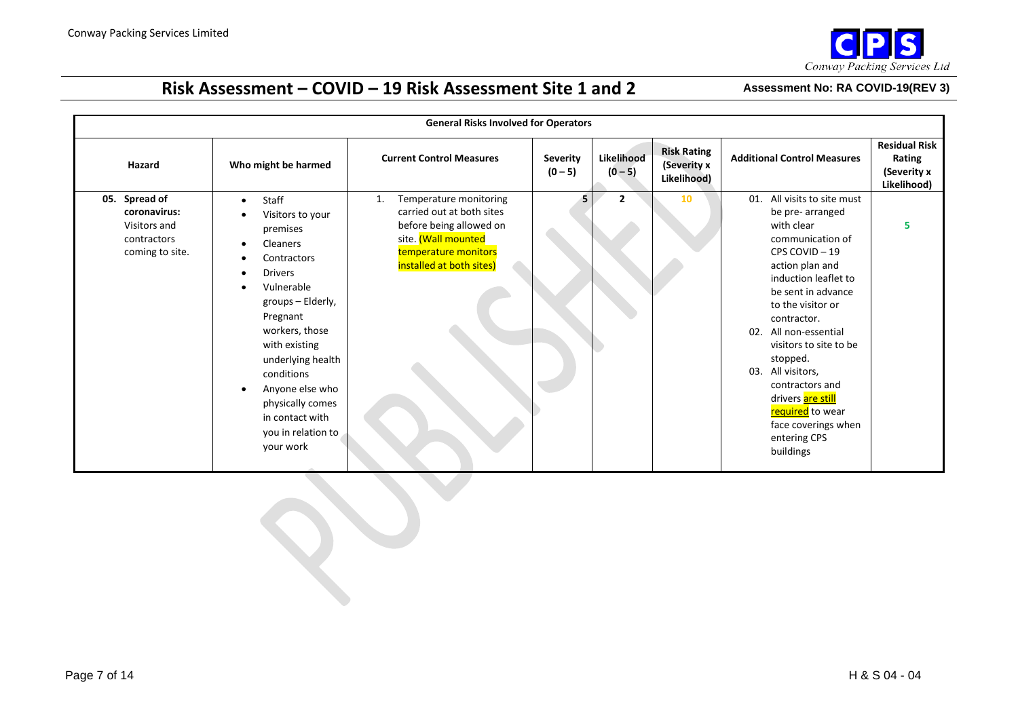

|                                                                                 |                                                                                                                                                                                                                                                                                                                                | <b>General Risks Involved for Operators</b>                                                                                                                     |                              |                         |                                                  |                                                                                                                                                                                                                                                                                                                                                                                                                     |                                                              |
|---------------------------------------------------------------------------------|--------------------------------------------------------------------------------------------------------------------------------------------------------------------------------------------------------------------------------------------------------------------------------------------------------------------------------|-----------------------------------------------------------------------------------------------------------------------------------------------------------------|------------------------------|-------------------------|--------------------------------------------------|---------------------------------------------------------------------------------------------------------------------------------------------------------------------------------------------------------------------------------------------------------------------------------------------------------------------------------------------------------------------------------------------------------------------|--------------------------------------------------------------|
| Hazard                                                                          | Who might be harmed                                                                                                                                                                                                                                                                                                            | <b>Current Control Measures</b>                                                                                                                                 | <b>Severity</b><br>$(0 - 5)$ | Likelihood<br>$(0 - 5)$ | <b>Risk Rating</b><br>(Severity x<br>Likelihood) | <b>Additional Control Measures</b>                                                                                                                                                                                                                                                                                                                                                                                  | <b>Residual Risk</b><br>Rating<br>(Severity x<br>Likelihood) |
| 05. Spread of<br>coronavirus:<br>Visitors and<br>contractors<br>coming to site. | Staff<br>$\bullet$<br>Visitors to your<br>premises<br>Cleaners<br>Contractors<br><b>Drivers</b><br>$\bullet$<br>Vulnerable<br>groups - Elderly,<br>Pregnant<br>workers, those<br>with existing<br>underlying health<br>conditions<br>Anyone else who<br>physically comes<br>in contact with<br>you in relation to<br>your work | Temperature monitoring<br>1.<br>carried out at both sites<br>before being allowed on<br>site. (Wall mounted<br>temperature monitors<br>installed at both sites) | 5                            | $\overline{2}$          | 10                                               | All visits to site must<br>01.<br>be pre- arranged<br>with clear<br>communication of<br>CPS COVID-19<br>action plan and<br>induction leaflet to<br>be sent in advance<br>to the visitor or<br>contractor.<br>All non-essential<br>02.<br>visitors to site to be<br>stopped.<br>All visitors,<br>03.<br>contractors and<br>drivers are still<br>required to wear<br>face coverings when<br>entering CPS<br>buildings | 5                                                            |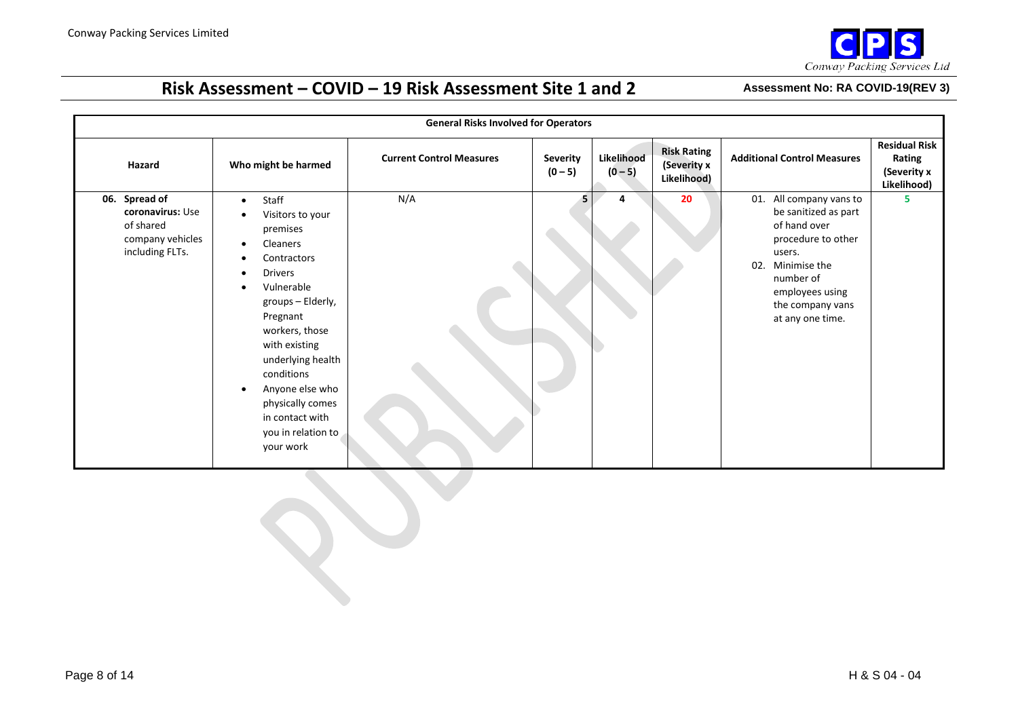

|                                                                                       |                                                                                                                                                                                                                                                                                                                                                    | <b>General Risks Involved for Operators</b> |                              |                         |                                                  |                                                                                                                                                                                                |                                                              |
|---------------------------------------------------------------------------------------|----------------------------------------------------------------------------------------------------------------------------------------------------------------------------------------------------------------------------------------------------------------------------------------------------------------------------------------------------|---------------------------------------------|------------------------------|-------------------------|--------------------------------------------------|------------------------------------------------------------------------------------------------------------------------------------------------------------------------------------------------|--------------------------------------------------------------|
| Hazard                                                                                | Who might be harmed                                                                                                                                                                                                                                                                                                                                | <b>Current Control Measures</b>             | <b>Severity</b><br>$(0 - 5)$ | Likelihood<br>$(0 - 5)$ | <b>Risk Rating</b><br>(Severity x<br>Likelihood) | <b>Additional Control Measures</b>                                                                                                                                                             | <b>Residual Risk</b><br>Rating<br>(Severity x<br>Likelihood) |
| 06. Spread of<br>coronavirus: Use<br>of shared<br>company vehicles<br>including FLTs. | Staff<br>$\bullet$<br>Visitors to your<br>premises<br><b>Cleaners</b><br>$\bullet$<br>Contractors<br><b>Drivers</b><br>$\bullet$<br>Vulnerable<br>groups - Elderly,<br>Pregnant<br>workers, those<br>with existing<br>underlying health<br>conditions<br>Anyone else who<br>physically comes<br>in contact with<br>you in relation to<br>your work | N/A                                         | 5.                           | Δ                       | 20                                               | 01. All company vans to<br>be sanitized as part<br>of hand over<br>procedure to other<br>users.<br>02.<br>Minimise the<br>number of<br>employees using<br>the company vans<br>at any one time. | 5                                                            |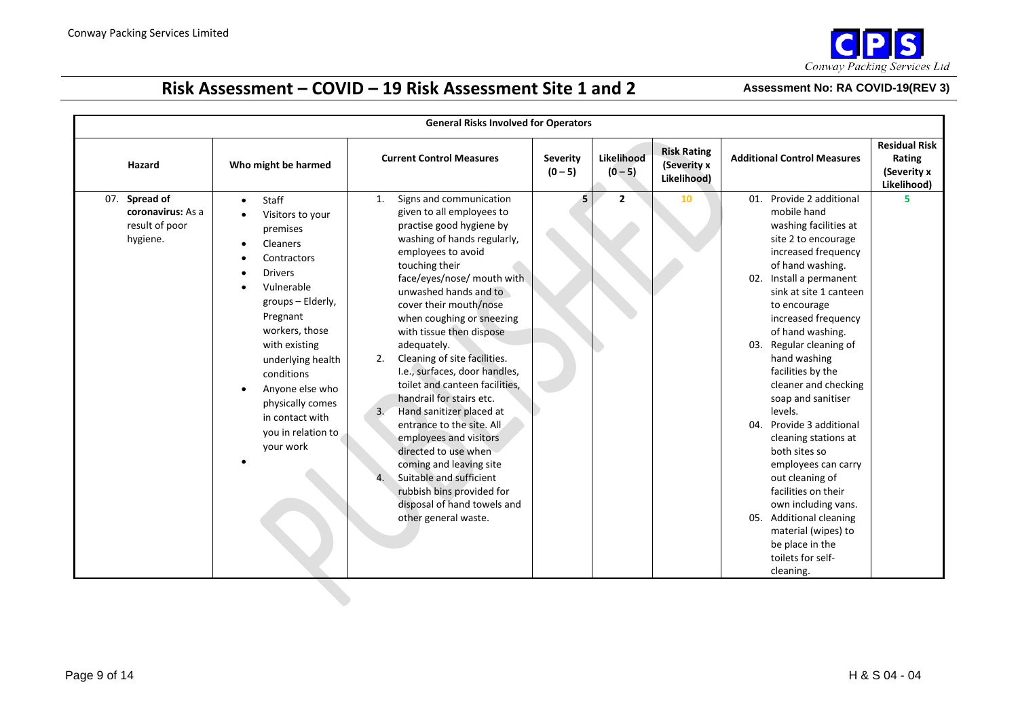

|                                                                  |                                                                                                                                                                                                                                                                                                                   | <b>General Risks Involved for Operators</b>                                                                                                                                                                                                                                                                                                                                                                                                                                                                                                                                                                                                                                                                            |                              |                         |                                                  |                                                                                                                                                                                                                                                                                                                                                                                                                                                                                                                                                                                                                                                                       |                                                              |
|------------------------------------------------------------------|-------------------------------------------------------------------------------------------------------------------------------------------------------------------------------------------------------------------------------------------------------------------------------------------------------------------|------------------------------------------------------------------------------------------------------------------------------------------------------------------------------------------------------------------------------------------------------------------------------------------------------------------------------------------------------------------------------------------------------------------------------------------------------------------------------------------------------------------------------------------------------------------------------------------------------------------------------------------------------------------------------------------------------------------------|------------------------------|-------------------------|--------------------------------------------------|-----------------------------------------------------------------------------------------------------------------------------------------------------------------------------------------------------------------------------------------------------------------------------------------------------------------------------------------------------------------------------------------------------------------------------------------------------------------------------------------------------------------------------------------------------------------------------------------------------------------------------------------------------------------------|--------------------------------------------------------------|
| Hazard                                                           | Who might be harmed                                                                                                                                                                                                                                                                                               | <b>Current Control Measures</b>                                                                                                                                                                                                                                                                                                                                                                                                                                                                                                                                                                                                                                                                                        | <b>Severity</b><br>$(0 - 5)$ | Likelihood<br>$(0 - 5)$ | <b>Risk Rating</b><br>(Severity x<br>Likelihood) | <b>Additional Control Measures</b>                                                                                                                                                                                                                                                                                                                                                                                                                                                                                                                                                                                                                                    | <b>Residual Risk</b><br>Rating<br>(Severity x<br>Likelihood) |
| 07. Spread of<br>coronavirus: As a<br>result of poor<br>hygiene. | Staff<br>$\bullet$<br>Visitors to your<br>premises<br>Cleaners<br>Contractors<br><b>Drivers</b><br>Vulnerable<br>groups - Elderly,<br>Pregnant<br>workers, those<br>with existing<br>underlying health<br>conditions<br>Anyone else who<br>physically comes<br>in contact with<br>you in relation to<br>your work | Signs and communication<br>1.<br>given to all employees to<br>practise good hygiene by<br>washing of hands regularly,<br>employees to avoid<br>touching their<br>face/eyes/nose/ mouth with<br>unwashed hands and to<br>cover their mouth/nose<br>when coughing or sneezing<br>with tissue then dispose<br>adequately.<br>Cleaning of site facilities.<br>2.<br>I.e., surfaces, door handles,<br>toilet and canteen facilities,<br>handrail for stairs etc.<br>Hand sanitizer placed at<br>3.<br>entrance to the site. All<br>employees and visitors<br>directed to use when<br>coming and leaving site<br>Suitable and sufficient<br>rubbish bins provided for<br>disposal of hand towels and<br>other general waste. | 5                            | $\overline{2}$          | 10                                               | Provide 2 additional<br>01.<br>mobile hand<br>washing facilities at<br>site 2 to encourage<br>increased frequency<br>of hand washing.<br>Install a permanent<br>02.<br>sink at site 1 canteen<br>to encourage<br>increased frequency<br>of hand washing.<br>Regular cleaning of<br>03.<br>hand washing<br>facilities by the<br>cleaner and checking<br>soap and sanitiser<br>levels.<br>Provide 3 additional<br>04.<br>cleaning stations at<br>both sites so<br>employees can carry<br>out cleaning of<br>facilities on their<br>own including vans.<br><b>Additional cleaning</b><br>05.<br>material (wipes) to<br>be place in the<br>toilets for self-<br>cleaning. | 5                                                            |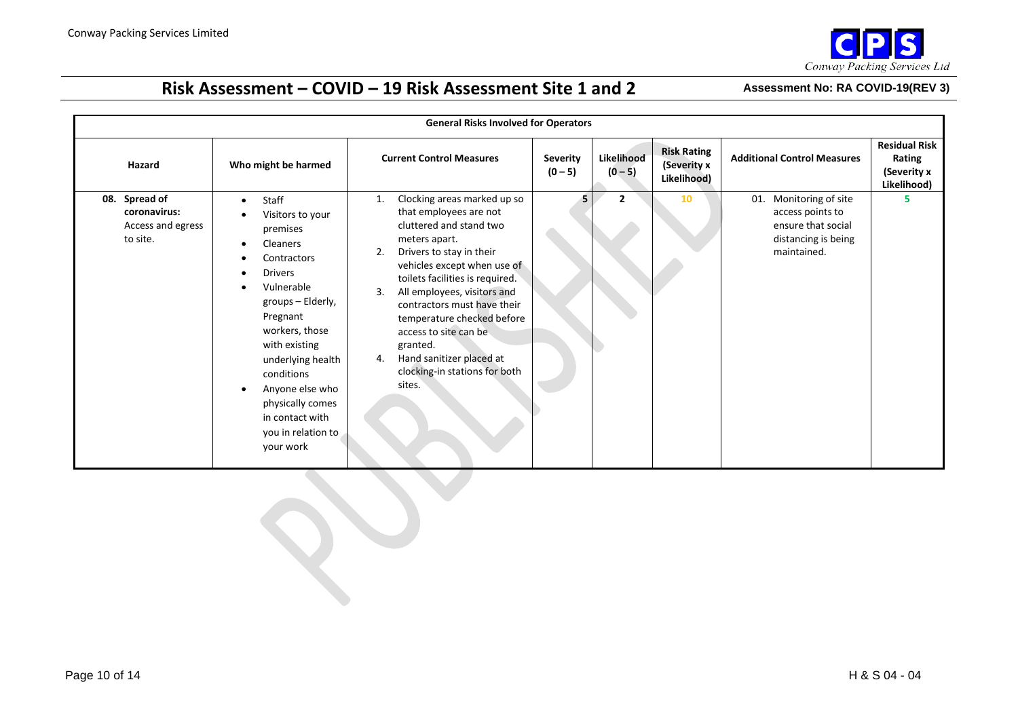

|                                                                |                                                                                                                                                                                                                                                                                                                                                                       | <b>General Risks Involved for Operators</b>                                                                                                                                                                                                                                                                                                                                                                                     |                              |                         |                                                  |                                                                                                        |                                                              |
|----------------------------------------------------------------|-----------------------------------------------------------------------------------------------------------------------------------------------------------------------------------------------------------------------------------------------------------------------------------------------------------------------------------------------------------------------|---------------------------------------------------------------------------------------------------------------------------------------------------------------------------------------------------------------------------------------------------------------------------------------------------------------------------------------------------------------------------------------------------------------------------------|------------------------------|-------------------------|--------------------------------------------------|--------------------------------------------------------------------------------------------------------|--------------------------------------------------------------|
| Hazard                                                         | Who might be harmed                                                                                                                                                                                                                                                                                                                                                   | <b>Current Control Measures</b>                                                                                                                                                                                                                                                                                                                                                                                                 | <b>Severity</b><br>$(0 - 5)$ | Likelihood<br>$(0 - 5)$ | <b>Risk Rating</b><br>(Severity x<br>Likelihood) | <b>Additional Control Measures</b>                                                                     | <b>Residual Risk</b><br>Rating<br>(Severity x<br>Likelihood) |
| 08. Spread of<br>coronavirus:<br>Access and egress<br>to site. | Staff<br>$\bullet$<br>Visitors to your<br>$\bullet$<br>premises<br>Cleaners<br>$\bullet$<br>Contractors<br><b>Drivers</b><br>Vulnerable<br>$\bullet$<br>groups - Elderly,<br>Pregnant<br>workers, those<br>with existing<br>underlying health<br>conditions<br>Anyone else who<br>$\bullet$<br>physically comes<br>in contact with<br>you in relation to<br>your work | Clocking areas marked up so<br>1.<br>that employees are not<br>cluttered and stand two<br>meters apart.<br>Drivers to stay in their<br>2.<br>vehicles except when use of<br>toilets facilities is required.<br>All employees, visitors and<br>3.<br>contractors must have their<br>temperature checked before<br>access to site can be<br>granted.<br>Hand sanitizer placed at<br>4.<br>clocking-in stations for both<br>sites. | 5.                           | $\overline{2}$          | 10                                               | 01. Monitoring of site<br>access points to<br>ensure that social<br>distancing is being<br>maintained. | 5                                                            |
|                                                                |                                                                                                                                                                                                                                                                                                                                                                       |                                                                                                                                                                                                                                                                                                                                                                                                                                 |                              |                         |                                                  |                                                                                                        |                                                              |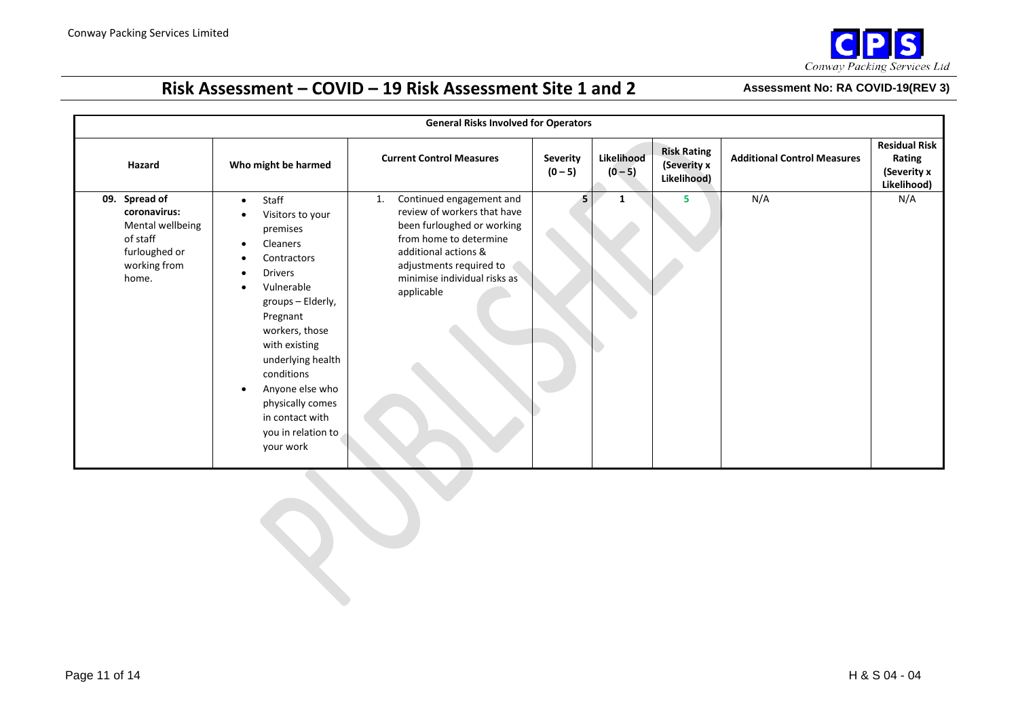

| <b>General Risks Involved for Operators</b>                                                                |                                                                                                                                                                                                                                                                                                                             |                                                                                                                                                                                                                        |                              |                         |                                                  |                                    |                                                              |
|------------------------------------------------------------------------------------------------------------|-----------------------------------------------------------------------------------------------------------------------------------------------------------------------------------------------------------------------------------------------------------------------------------------------------------------------------|------------------------------------------------------------------------------------------------------------------------------------------------------------------------------------------------------------------------|------------------------------|-------------------------|--------------------------------------------------|------------------------------------|--------------------------------------------------------------|
| Hazard                                                                                                     | Who might be harmed                                                                                                                                                                                                                                                                                                         | <b>Current Control Measures</b>                                                                                                                                                                                        | <b>Severity</b><br>$(0 - 5)$ | Likelihood<br>$(0 - 5)$ | <b>Risk Rating</b><br>(Severity x<br>Likelihood) | <b>Additional Control Measures</b> | <b>Residual Risk</b><br>Rating<br>(Severity x<br>Likelihood) |
| Spread of<br>09.<br>coronavirus:<br>Mental wellbeing<br>of staff<br>furloughed or<br>working from<br>home. | Staff<br>$\bullet$<br>Visitors to your<br>premises<br>Cleaners<br>٠<br>Contractors<br><b>Drivers</b><br>٠<br>Vulnerable<br>groups - Elderly,<br>Pregnant<br>workers, those<br>with existing<br>underlying health<br>conditions<br>Anyone else who<br>physically comes<br>in contact with<br>you in relation to<br>your work | Continued engagement and<br>1.<br>review of workers that have<br>been furloughed or working<br>from home to determine<br>additional actions &<br>adjustments required to<br>minimise individual risks as<br>applicable | 5.                           | 1                       | 5                                                | N/A                                | N/A                                                          |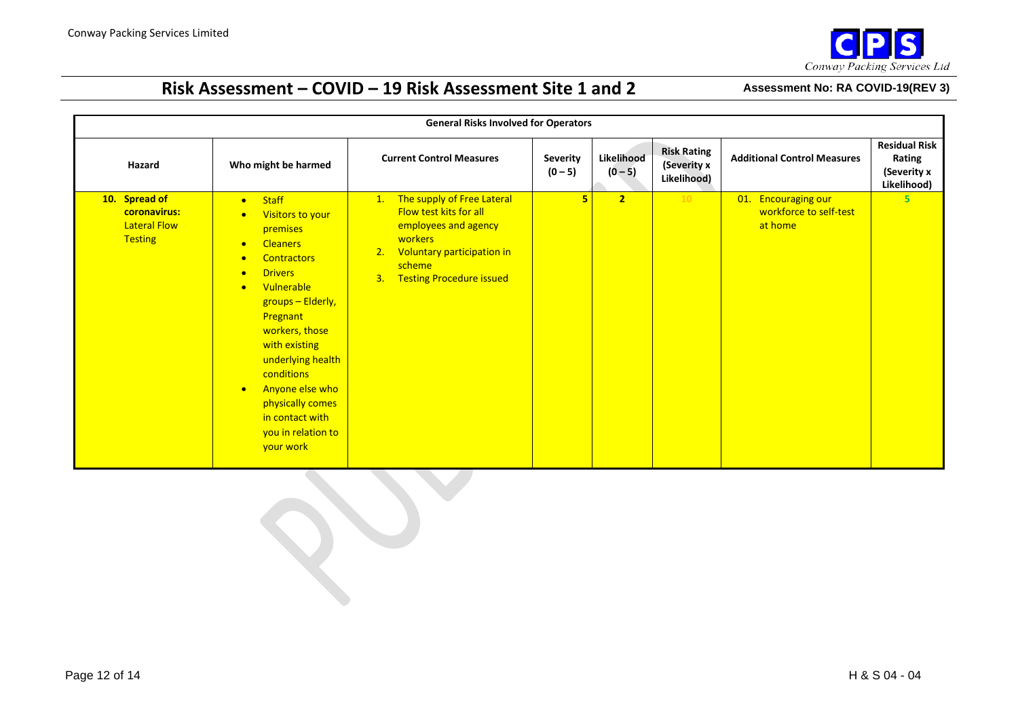

| <b>General Risks Involved for Operators</b>                            |                                                                                                                                                                                                                                                                                                                                                                                                                      |                                                                                                                                                                         |                              |                         |                                                  |                                                          |                                                              |
|------------------------------------------------------------------------|----------------------------------------------------------------------------------------------------------------------------------------------------------------------------------------------------------------------------------------------------------------------------------------------------------------------------------------------------------------------------------------------------------------------|-------------------------------------------------------------------------------------------------------------------------------------------------------------------------|------------------------------|-------------------------|--------------------------------------------------|----------------------------------------------------------|--------------------------------------------------------------|
| Hazard                                                                 | Who might be harmed                                                                                                                                                                                                                                                                                                                                                                                                  | <b>Current Control Measures</b>                                                                                                                                         | <b>Severity</b><br>$(0 - 5)$ | Likelihood<br>$(0 - 5)$ | <b>Risk Rating</b><br>(Severity x<br>Likelihood) | <b>Additional Control Measures</b>                       | <b>Residual Risk</b><br>Rating<br>(Severity x<br>Likelihood) |
| 10. Spread of<br>coronavirus:<br><b>Lateral Flow</b><br><b>Testing</b> | <b>Staff</b><br>$\bullet$<br>Visitors to your<br>$\bullet$<br>premises<br><b>Cleaners</b><br>$\bullet$<br><b>Contractors</b><br>$\bullet$<br><b>Drivers</b><br>$\bullet$<br>Vulnerable<br>$\bullet$<br>groups - Elderly,<br>Pregnant<br>workers, those<br>with existing<br>underlying health<br>conditions<br>Anyone else who<br>$\bullet$<br>physically comes<br>in contact with<br>you in relation to<br>your work | The supply of Free Lateral<br>1.<br>Flow test kits for all<br>employees and agency<br>workers<br>2. Voluntary participation in<br>scheme<br>3. Testing Procedure issued | 5                            | $\overline{2}$          | 10                                               | 01. Encouraging our<br>workforce to self-test<br>at home | $5\overline{)}$                                              |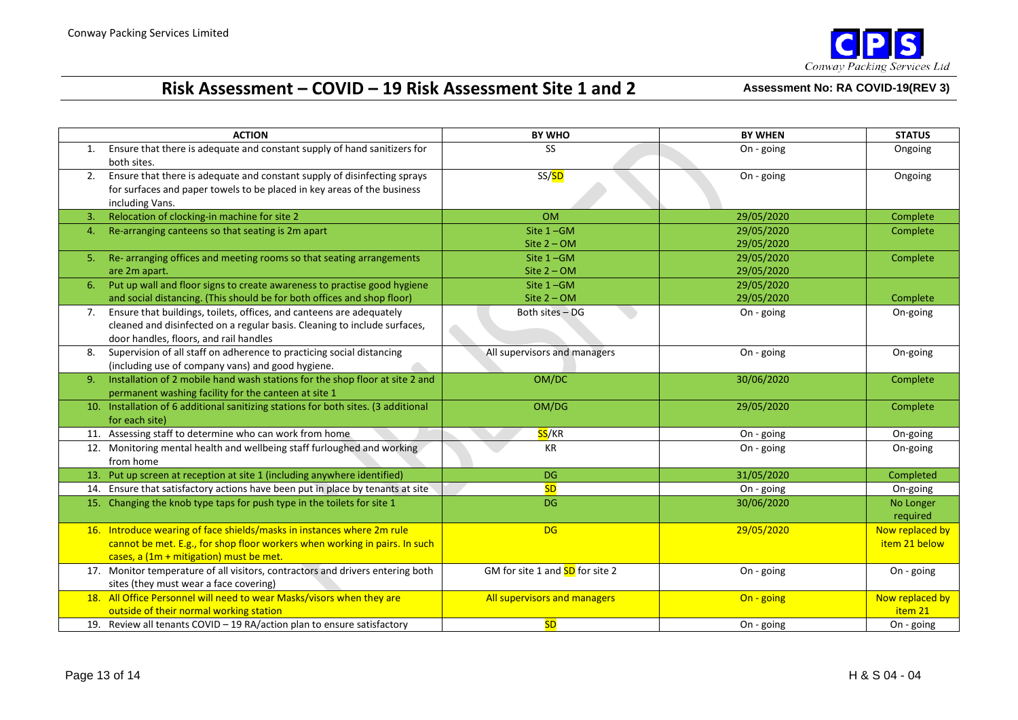

|    | <b>ACTION</b>                                                                                                                                                                                   | <b>BY WHO</b>                          | <b>BY WHEN</b>           | <b>STATUS</b>                    |
|----|-------------------------------------------------------------------------------------------------------------------------------------------------------------------------------------------------|----------------------------------------|--------------------------|----------------------------------|
| 1. | Ensure that there is adequate and constant supply of hand sanitizers for<br>both sites.                                                                                                         | <b>SS</b>                              | On - going               | Ongoing                          |
| 2. | Ensure that there is adequate and constant supply of disinfecting sprays<br>for surfaces and paper towels to be placed in key areas of the business<br>including Vans.                          | SS/ <mark>SD</mark>                    | On - going               | Ongoing                          |
| 3. | Relocation of clocking-in machine for site 2                                                                                                                                                    | <b>OM</b>                              | 29/05/2020               | Complete                         |
| 4. | Re-arranging canteens so that seating is 2m apart                                                                                                                                               | Site $1 - GM$<br>Site $2 - OM$         | 29/05/2020<br>29/05/2020 | Complete                         |
| 5. | Re-arranging offices and meeting rooms so that seating arrangements<br>are 2m apart.                                                                                                            | Site $1 - GM$<br>Site $2 - OM$         | 29/05/2020<br>29/05/2020 | Complete                         |
| 6. | Put up wall and floor signs to create awareness to practise good hygiene<br>and social distancing. (This should be for both offices and shop floor)                                             | Site $1 - GM$<br>Site $2 - OM$         | 29/05/2020<br>29/05/2020 | Complete                         |
| 7. | Ensure that buildings, toilets, offices, and canteens are adequately<br>cleaned and disinfected on a regular basis. Cleaning to include surfaces,<br>door handles, floors, and rail handles     | Both sites - DG                        | On - going               | On-going                         |
| 8. | Supervision of all staff on adherence to practicing social distancing<br>(including use of company vans) and good hygiene.                                                                      | All supervisors and managers           | On - going               | On-going                         |
| 9. | Installation of 2 mobile hand wash stations for the shop floor at site 2 and<br>permanent washing facility for the canteen at site 1                                                            | OM/DC                                  | 30/06/2020               | Complete                         |
|    | 10. Installation of 6 additional sanitizing stations for both sites. (3 additional<br>for each site)                                                                                            | OM/DG                                  | 29/05/2020               | Complete                         |
|    | 11. Assessing staff to determine who can work from home                                                                                                                                         | <mark>SS</mark> /KR                    | On - going               | On-going                         |
|    | 12. Monitoring mental health and wellbeing staff furloughed and working<br>from home                                                                                                            | KR                                     | On - going               | On-going                         |
|    | 13. Put up screen at reception at site 1 (including anywhere identified)                                                                                                                        | <b>DG</b>                              | 31/05/2020               | Completed                        |
|    | 14. Ensure that satisfactory actions have been put in place by tenants at site                                                                                                                  | <b>SD</b>                              | On - going               | On-going                         |
|    | 15. Changing the knob type taps for push type in the toilets for site 1                                                                                                                         | <b>DG</b>                              | 30/06/2020               | No Longer<br>required            |
|    | 16. Introduce wearing of face shields/masks in instances where 2m rule<br>cannot be met. E.g., for shop floor workers when working in pairs. In such<br>cases, a (1m + mitigation) must be met. | <b>DG</b>                              | 29/05/2020               | Now replaced by<br>item 21 below |
|    | 17. Monitor temperature of all visitors, contractors and drivers entering both<br>sites (they must wear a face covering)                                                                        | GM for site 1 and <b>SD</b> for site 2 | On - going               | On - going                       |
|    | 18. All Office Personnel will need to wear Masks/visors when they are<br>outside of their normal working station                                                                                | All supervisors and managers           | On - going               | Now replaced by<br>item 21       |
|    | 19. Review all tenants COVID - 19 RA/action plan to ensure satisfactory                                                                                                                         | <b>SD</b>                              | On - going               | On - going                       |